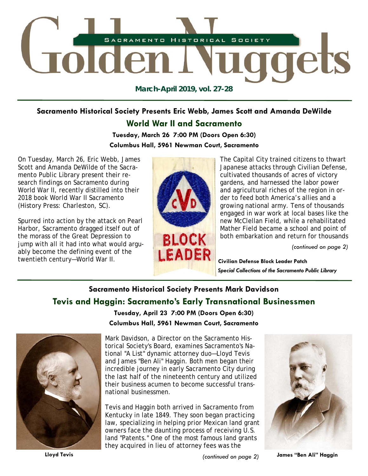

**March-April 2019, vol. 27-28** 

# **Sacramento Historical Society Presents Eric Webb, James Scott and Amanda DeWilde**

## **World War II and Sacramento**

**Tuesday, March 26 7:00 PM (Doors Open 6:30) Columbus Hall, 5961 Newman Court, Sacramento** 

On Tuesday, March 26, Eric Webb, James Scott and Amanda DeWilde of the Sacramento Public Library present their research findings on Sacramento during World War II, recently distilled into their 2018 book *World War II Sacramento* (History Press: Charleston, SC).

Spurred into action by the attack on Pearl Harbor, Sacramento dragged itself out of the morass of the Great Depression to jump with all it had into what would arguably become the defining event of the twentieth century—World War II.



The Capital City trained citizens to thwart Japanese attacks through Civilian Defense, cultivated thousands of acres of victory gardens, and harnessed the labor power and agricultural riches of the region in order to feed both America's allies and a growing national army. Tens of thousands engaged in war work at local bases like the new McClellan Field, while a rehabilitated Mather Field became a school and point of both embarkation and return for thousands

*(continued on page 2)* 

**Civilian Defense Block Leader Patch**  *Special Collections of the Sacramento Public Library* 

# **Sacramento Historical Society Presents Mark Davidson Tevis and Haggin: Sacramento's Early Transnational Businessmen**



**Tuesday, April 23 7:00 PM (Doors Open 6:30) Columbus Hall, 5961 Newman Court, Sacramento** 

Mark Davidson, a Director on the Sacramento Historical Society's Board, examines Sacramento's National "A List" dynamic attorney duo—Lloyd Tevis and James "Ben Ali" Haggin. Both men began their incredible journey in early Sacramento City during the last half of the nineteenth century and utilized their business acumen to become successful transnational businessmen.

Tevis and Haggin both arrived in Sacramento from Kentucky in late 1849. They soon began practicing law, specializing in helping prior Mexican land grant owners face the daunting process of receiving U.S. land "Patents." One of the most famous land grants they acquired in lieu of attorney fees was the



**Lloyd Tevis** *(continued on page 2)* 

**James "Ben Ali" Haggin**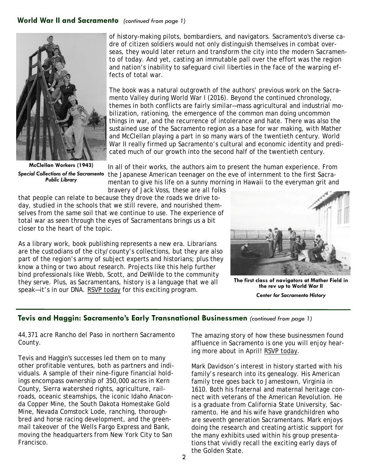## **World War II and Sacramento** *(continued from page 1)*



**McClellan Workers (1943)**  *Special Collections of the Sacramento Public Library* 

of history-making pilots, bombardiers, and navigators. Sacramento's diverse cadre of citizen soldiers would not only distinguish themselves in combat overseas, they would later return and transform the city into the modern Sacramento of today. And yet, casting an immutable pall over the effort was the region and nation's inability to safeguard civil liberties in the face of the warping effects of total war.

The book was a natural outgrowth of the authors' previous work on the Sacramento Valley during World War I (2016). Beyond the continued chronology, themes in both conflicts are fairly similar—mass agricultural and industrial mobilization, rationing, the emergence of the common man doing uncommon things in war, and the recurrence of intolerance and hate. There was also the sustained use of the Sacramento region as a base for war making, with Mather and McClellan playing a part in so many wars of the twentieth century. World War II really firmed up Sacramento's cultural and economic identity and predicated much of our growth into the second half of the twentieth century.

In all of their works, the authors aim to present the human experience. From the Japanese American teenager on the eve of internment to the first Sacramentan to give his life on a sunny morning in Hawaii to the everyman grit and bravery of Jack Voss, these are all folks

that people can relate to because they drove the roads we drive today, studied in the schools that we still revere, and nourished themselves from the same soil that we continue to use. The experience of total war as seen through the eyes of Sacramentans brings us a bit closer to the heart of the topic.

As a library work, book publishing represents a new era. Librarians are the custodians of the city/county's collections, but they are also part of the region's army of subject experts and historians; plus they know a thing or two about research. Projects like this help further bind professionals like Webb, Scott, and DeWilde to the community they serve. Plus, as Sacramentans, history is a language that we all speak—it's in our DNA. RSVP today for this exciting program.



**The first class of navigators at Mather Field in the rev up to World War II**  *Center for Sacramento History* 

## **Tevis and Haggin: Sacramento's Early Transnational Businessmen** *(continued from page 1)*

44,371 acre Rancho del Paso in northern Sacramento County.

Tevis and Haggin's successes led them on to many other profitable ventures, both as partners and individuals. A sample of their nine-figure financial holdings encompass ownership of 350,000 acres in Kern County, Sierra watershed rights, agriculture, railroads, oceanic steamships, the iconic Idaho Anaconda Copper Mine, the South Dakota Homestake Gold Mine, Nevada Comstock Lode, ranching, thoroughbred and horse racing development, and the greenmail takeover of the Wells Fargo Express and Bank, moving the headquarters from New York City to San Francisco.

The amazing story of how these businessmen found affluence in Sacramento is one you will enjoy hearing more about in April! RSVP today.

Mark Davidson's interest in history started with his family's research into its genealogy. His American family tree goes back to Jamestown, Virginia in 1610. Both his fraternal and maternal heritage connect with veterans of the American Revolution. He is a graduate from California State University, Sacramento. He and his wife have grandchildren who are seventh generation Sacramentans. Mark enjoys doing the research and creating artistic support for the many exhibits used within his group presentations that vividly recall the exciting early days of the Golden State.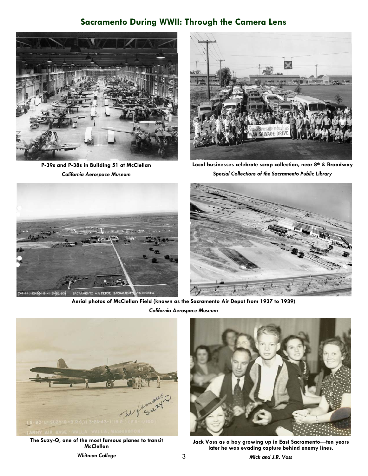## **Sacramento During WWII: Through the Camera Lens**



**P-39s and P-38s in Building 51 at McClellan**  *California Aerospace Museum* 



**Local businesses celebrate scrap collection, near 8th & Broadway**  *Special Collections of the Sacramento Public Library* 





**Aerial photos of McClellan Field (known as the Sacramento Air Depot from 1937 to 1939)**  *California Aerospace Museum* 

3



**The Suzy-Q, one of the most famous planes to transit McClellan** 



**Jack Voss as a boy growing up in East Sacramento—ten years later he was evading capture behind enemy lines.**